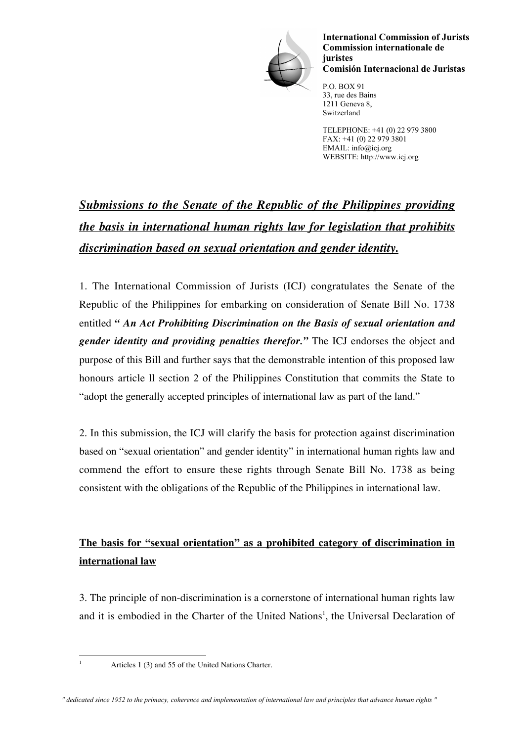

**International Commission of Jurists Commission internationale de juristes Comisión Internacional de Juristas**

P.O. BOX 91 33, rue des Bains 1211 Geneva 8, Switzerland

TELEPHONE: +41 (0) 22 979 3800 FAX: +41 (0) 22 979 3801 EMAIL: info@icj.org WEBSITE: http://www.icj.org

# *Submissions to the Senate of the Republic of the Philippines providing the basis in international human rights law for legislation that prohibits discrimination based on sexual orientation and gender identity.*

1. The International Commission of Jurists (ICJ) congratulates the Senate of the Republic of the Philippines for embarking on consideration of Senate Bill No. 1738 entitled *" An Act Prohibiting Discrimination on the Basis of sexual orientation and gender identity and providing penalties therefor."* The ICJ endorses the object and purpose of this Bill and further says that the demonstrable intention of this proposed law honours article ll section 2 of the Philippines Constitution that commits the State to "adopt the generally accepted principles of international law as part of the land."

2. In this submission, the ICJ will clarify the basis for protection against discrimination based on "sexual orientation" and gender identity" in international human rights law and commend the effort to ensure these rights through Senate Bill No. 1738 as being consistent with the obligations of the Republic of the Philippines in international law.

## **The basis for "sexual orientation" as a prohibited category of discrimination in international law**

3. The principle of non-discrimination is a cornerstone of international human rights law and it is embodied in the Charter of the United Nations<sup>1</sup>, the Universal Declaration of

<sup>&</sup>lt;sup>1</sup> Articles 1 (3) and 55 of the United Nations Charter.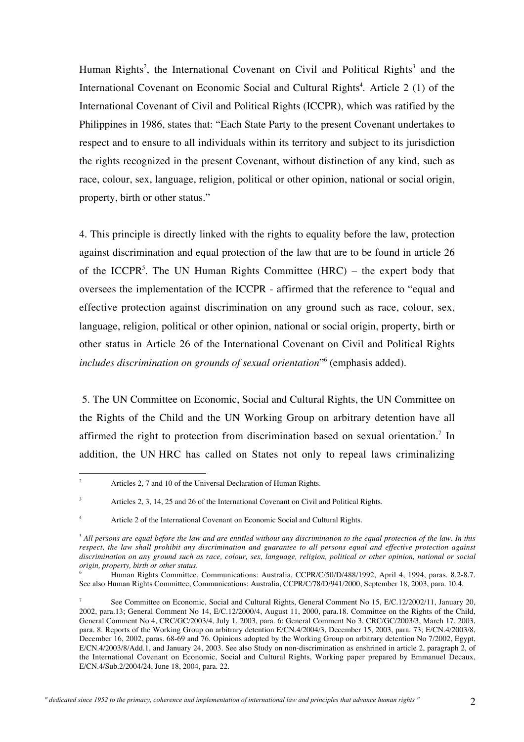Human Rights<sup>2</sup>, the International Covenant on Civil and Political Rights<sup>3</sup> and the International Covenant on Economic Social and Cultural Rights<sup>4</sup>. Article 2 (1) of the International Covenant of Civil and Political Rights (ICCPR), which was ratified by the Philippines in 1986, states that: "Each State Party to the present Covenant undertakes to respect and to ensure to all individuals within its territory and subject to its jurisdiction the rights recognized in the present Covenant, without distinction of any kind, such as race, colour, sex, language, religion, political or other opinion, national or social origin, property, birth or other status."

4. This principle is directly linked with the rights to equality before the law, protection against discrimination and equal protection of the law that are to be found in article 26 of the ICCPR<sup>5</sup>. The UN Human Rights Committee (HRC) – the expert body that oversees the implementation of the ICCPR - affirmed that the reference to "equal and effective protection against discrimination on any ground such as race, colour, sex, language, religion, political or other opinion, national or social origin, property, birth or other status in Article 26 of the International Covenant on Civil and Political Rights *includes discrimination on grounds of sexual orientation*"6 (emphasis added).

5. The UN Committee on Economic, Social and Cultural Rights, the UN Committee on the Rights of the Child and the UN Working Group on arbitrary detention have all affirmed the right to protection from discrimination based on sexual orientation.<sup>7</sup> In addition, the UN HRC has called on States not only to repeal laws criminalizing

<sup>&</sup>lt;sup>2</sup> Articles 2, 7 and 10 of the Universal Declaration of Human Rights.

Articles 2, 3, 14, 25 and 26 of the International Covenant on Civil and Political Rights.

Article 2 of the International Covenant on Economic Social and Cultural Rights.

<sup>5</sup> *All persons are equal before the law and are entitled without any discrimination to the equal protection of the law. In this respect, the law shall prohibit any discrimination and guarantee to all persons equal and effective protection against discrimination on any ground such as race, colour, sex, language, religion, political or other opinion, national or social origin, property, birth or other status*.

<sup>6</sup> Human Rights Committee, Communications: Australia, CCPR/C/50/D/488/1992, April 4, 1994, paras. 8.2-8.7. See also Human Rights Committee, Communications: Australia, CCPR/C/78/D/941/2000, September 18, 2003, para. 10.4.

<sup>7</sup> See Committee on Economic, Social and Cultural Rights, General Comment No 15, E/C.12/2002/11, January 20, 2002, para.13; General Comment No 14, E/C.12/2000/4, August 11, 2000, para.18. Committee on the Rights of the Child, General Comment No 4, CRC/GC/2003/4, July 1, 2003, para. 6; General Comment No 3, CRC/GC/2003/3, March 17, 2003, para. 8. Reports of the Working Group on arbitrary detention E/CN.4/2004/3, December 15, 2003, para. 73; E/CN.4/2003/8, December 16, 2002, paras. 68-69 and 76. Opinions adopted by the Working Group on arbitrary detention No 7/2002, Egypt, E/CN.4/2003/8/Add.1, and January 24, 2003. See also Study on non-discrimination as enshrined in article 2, paragraph 2, of the International Covenant on Economic, Social and Cultural Rights, Working paper prepared by Emmanuel Decaux, E/CN.4/Sub.2/2004/24, June 18, 2004, para. 22.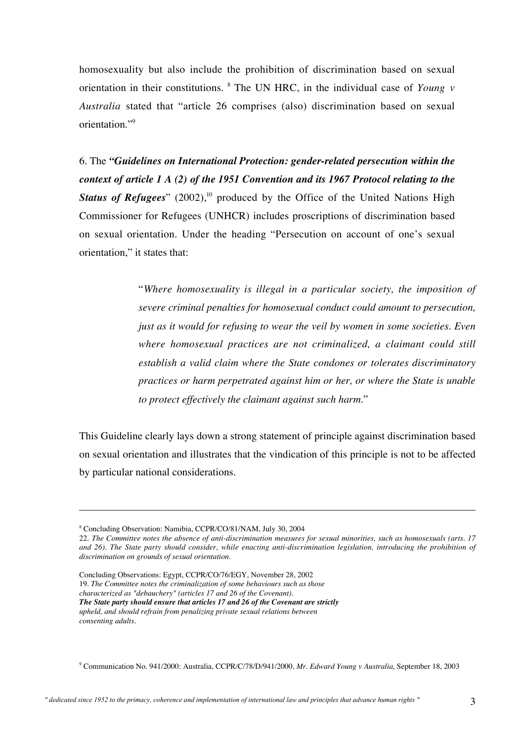homosexuality but also include the prohibition of discrimination based on sexual orientation in their constitutions. <sup>8</sup> The UN HRC, in the individual case of *Young v Australia* stated that "article 26 comprises (also) discrimination based on sexual orientation."9

6. The *"Guidelines on International Protection: gender-related persecution within the context of article 1 A (2) of the 1951 Convention and its 1967 Protocol relating to the* **Status of Refugees**" (2002),<sup>10</sup> produced by the Office of the United Nations High Commissioner for Refugees (UNHCR) includes proscriptions of discrimination based on sexual orientation. Under the heading "Persecution on account of one's sexual orientation," it states that:

> "*Where homosexuality is illegal in a particular society, the imposition of severe criminal penalties for homosexual conduct could amount to persecution, just as it would for refusing to wear the veil by women in some societies. Even where homosexual practices are not criminalized, a claimant could still establish a valid claim where the State condones or tolerates discriminatory practices or harm perpetrated against him or her, or where the State is unable to protect effectively the claimant against such harm*."

This Guideline clearly lays down a strong statement of principle against discrimination based on sexual orientation and illustrates that the vindication of this principle is not to be affected by particular national considerations.

 $\overline{a}$ 

Concluding Observations: Egypt, CCPR/CO/76/EGY, November 28, 2002 19. *The Committee notes the criminalization of some behaviours such as those characterized as "debauchery" (articles 17 and 26 of the Covenant). The State party should ensure that articles 17 and 26 of the Covenant are strictly upheld, and should refrain from penalizing private sexual relations between consenting adults.*

9 Communication No. 941/2000: Australia, CCPR/C/78/D/941/2000, *Mr. Edward Young v Australia*, September 18, 2003

<sup>8</sup> Concluding Observation: Namibia, CCPR/CO/81/NAM, July 30, 2004

<sup>22.</sup> *The Committee notes the absence of anti-discrimination measures for sexual minorities, such as homosexuals (arts. 17 and 26). The State party should consider, while enacting anti-discrimination legislation, introducing the prohibition of discrimination on grounds of sexual orientation.*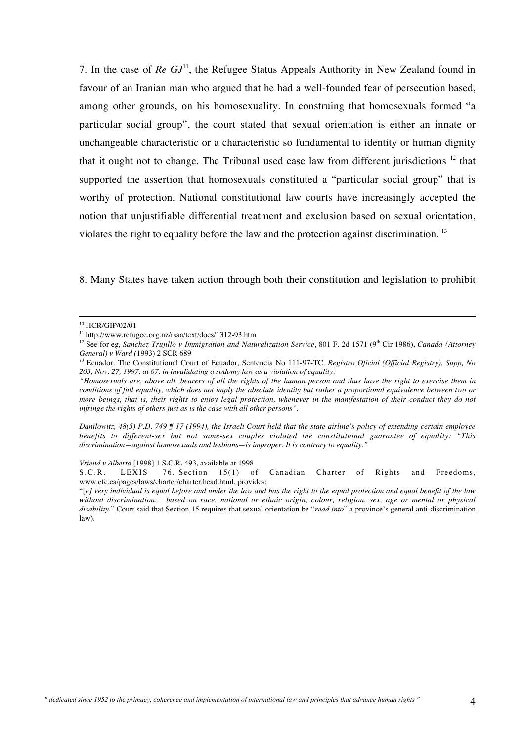7. In the case of *Re GJ*<sup>11</sup> , the Refugee Status Appeals Authority in New Zealand found in favour of an Iranian man who argued that he had a well-founded fear of persecution based, among other grounds, on his homosexuality. In construing that homosexuals formed "a particular social group", the court stated that sexual orientation is either an innate or unchangeable characteristic or a characteristic so fundamental to identity or human dignity that it ought not to change. The Tribunal used case law from different jurisdictions  $12$  that supported the assertion that homosexuals constituted a "particular social group" that is worthy of protection. National constitutional law courts have increasingly accepted the notion that unjustifiable differential treatment and exclusion based on sexual orientation, violates the right to equality before the law and the protection against discrimination.<sup>13</sup>

8. Many States have taken action through both their constitution and legislation to prohibit

*Danilowitz, 48(5) P.D. 749 ¶ 17 (1994), the Israeli Court held that the state airline's policy of extending certain employee benefits to different-sex but not same-sex couples violated the constitutional guarantee of equality: "This discrimination—against homosexuals and lesbians—is improper. It is contrary to equality."*

*Vriend v Alberta* [1998] 1 S.C.R. 493, available at 1998<br>S.C.R. LEXIS 76. Section 15(1) o

of Canadian Charter of Rights and Freedoms, www.efc.ca/pages/laws/charter/charter.head.html, provides:

 <sup>10</sup> HCR/GIP/02/01

<sup>11</sup> http://www.refugee.org.nz/rsaa/text/docs/1312-93.htm

<sup>&</sup>lt;sup>12</sup> See for eg, *Sanchez-Trujillo v Immigration and Naturalization Service*, 801 F. 2d 1571 (9<sup>th</sup> Cir 1986), *Canada (Attorney General) v Ward (*1993) 2 SCR 689

*<sup>13</sup>* Ecuador: The Constitutional Court of Ecuador, Sentencia No 111-97-TC*, Registro Oficial (Official Registry), Supp, No 203, Nov. 27, 1997, at 67, in invalidating a sodomy law as a violation of equality:*

*<sup>&</sup>quot;Homosexuals are, above all, bearers of all the rights of the human person and thus have the right to exercise them in conditions of full equality, which does not imply the absolute identity but rather a proportional equivalence between two or more beings, that is, their rights to enjoy legal protection, whenever in the manifestation of their conduct they do not infringe the rights of others just as is the case with all other persons".*

<sup>&</sup>quot;[*e] very individual is equal before and under the law and has the right to the equal protection and equal benefit of the law without discrimination.. based on race, national or ethnic origin, colour, religion, sex, age or mental or physical disability*." Court said that Section 15 requires that sexual orientation be "*read into*" a province's general anti-discrimination law).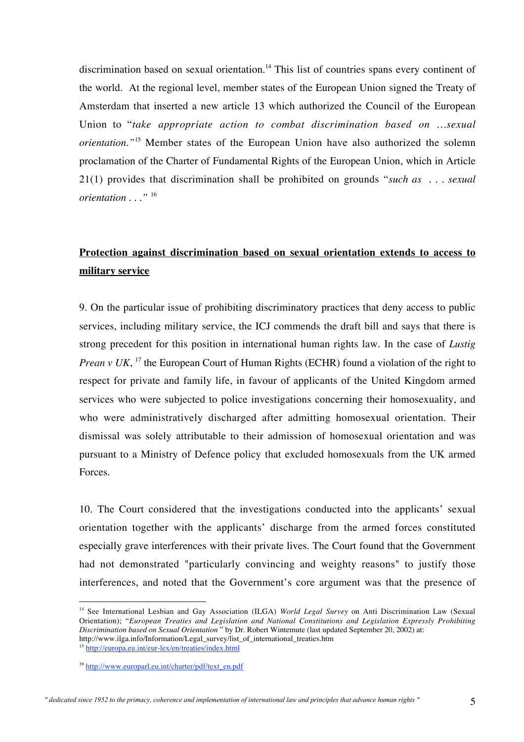discrimination based on sexual orientation.<sup>14</sup> This list of countries spans every continent of the world. At the regional level, member states of the European Union signed the Treaty of Amsterdam that inserted a new article 13 which authorized the Council of the European Union to "*take appropriate action to combat discrimination based on …sexual orientation."*<sup>15</sup> Member states of the European Union have also authorized the solemn proclamation of the Charter of Fundamental Rights of the European Union, which in Article 21(1) provides that discrimination shall be prohibited on grounds "*such as . . . sexual orientation . . ."* <sup>16</sup>

#### **Protection against discrimination based on sexual orientation extends to access to military service**

9. On the particular issue of prohibiting discriminatory practices that deny access to public services, including military service, the ICJ commends the draft bill and says that there is strong precedent for this position in international human rights law. In the case of *Lustig Prean v UK*, <sup>17</sup> the European Court of Human Rights (ECHR) found a violation of the right to respect for private and family life, in favour of applicants of the United Kingdom armed services who were subjected to police investigations concerning their homosexuality, and who were administratively discharged after admitting homosexual orientation. Their dismissal was solely attributable to their admission of homosexual orientation and was pursuant to a Ministry of Defence policy that excluded homosexuals from the UK armed Forces.

10. The Court considered that the investigations conducted into the applicants' sexual orientation together with the applicants' discharge from the armed forces constituted especially grave interferences with their private lives. The Court found that the Government had not demonstrated "particularly convincing and weighty reasons" to justify those interferences, and noted that the Government's core argument was that the presence of

 <sup>14</sup> See International Lesbian and Gay Association (ILGA) *World Legal Survey* on Anti Discrimination Law (Sexual Orientation); "*European Treaties and Legislation and National Constitutions and Legislation Expressly Prohibiting Discrimination based on Sexual Orientation* " by Dr. Robert Wintemute (last updated September 20, 2002) at: http://www.ilga.info/Information/Legal\_survey/list\_of\_international\_treaties.htm

<sup>15</sup> http://europa.eu.int/eur-lex/en/treaties/index.html

<sup>&</sup>lt;sup>16</sup> http://www.europarl.eu.int/charter/pdf/text\_en.pdf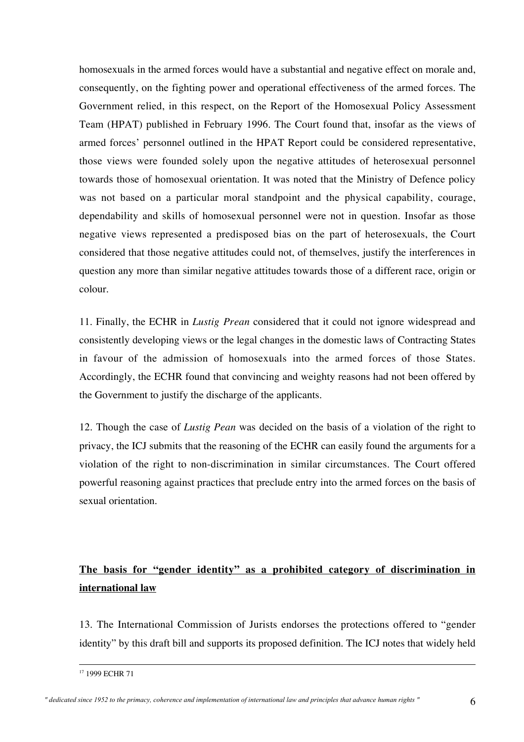homosexuals in the armed forces would have a substantial and negative effect on morale and, consequently, on the fighting power and operational effectiveness of the armed forces. The Government relied, in this respect, on the Report of the Homosexual Policy Assessment Team (HPAT) published in February 1996. The Court found that, insofar as the views of armed forces' personnel outlined in the HPAT Report could be considered representative, those views were founded solely upon the negative attitudes of heterosexual personnel towards those of homosexual orientation. It was noted that the Ministry of Defence policy was not based on a particular moral standpoint and the physical capability, courage, dependability and skills of homosexual personnel were not in question. Insofar as those negative views represented a predisposed bias on the part of heterosexuals, the Court considered that those negative attitudes could not, of themselves, justify the interferences in question any more than similar negative attitudes towards those of a different race, origin or colour.

11. Finally, the ECHR in *Lustig Prean* considered that it could not ignore widespread and consistently developing views or the legal changes in the domestic laws of Contracting States in favour of the admission of homosexuals into the armed forces of those States. Accordingly, the ECHR found that convincing and weighty reasons had not been offered by the Government to justify the discharge of the applicants.

12. Though the case of *Lustig Pean* was decided on the basis of a violation of the right to privacy, the ICJ submits that the reasoning of the ECHR can easily found the arguments for a violation of the right to non-discrimination in similar circumstances. The Court offered powerful reasoning against practices that preclude entry into the armed forces on the basis of sexual orientation.

### **The basis for "gender identity" as a prohibited category of discrimination in international law**

13. The International Commission of Jurists endorses the protections offered to "gender identity" by this draft bill and supports its proposed definition. The ICJ notes that widely held

<sup>&</sup>lt;sup>17</sup> 1999 ECHR 71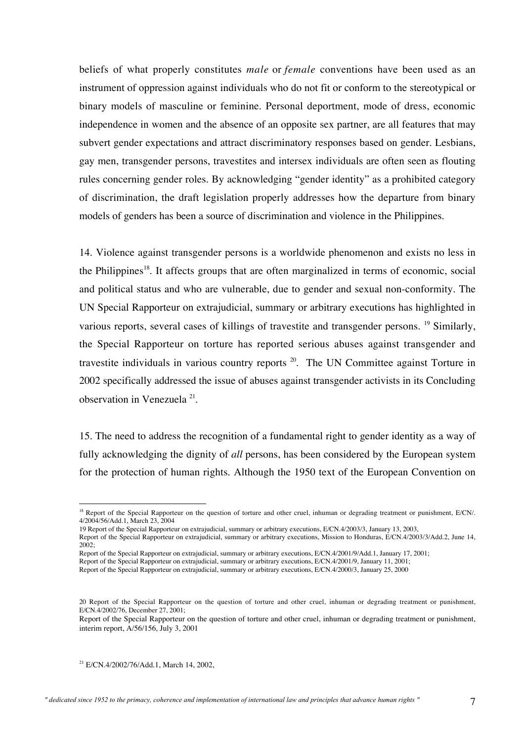beliefs of what properly constitutes *male* or *female* conventions have been used as an instrument of oppression against individuals who do not fit or conform to the stereotypical or binary models of masculine or feminine. Personal deportment, mode of dress, economic independence in women and the absence of an opposite sex partner, are all features that may subvert gender expectations and attract discriminatory responses based on gender. Lesbians, gay men, transgender persons, travestites and intersex individuals are often seen as flouting rules concerning gender roles. By acknowledging "gender identity" as a prohibited category of discrimination, the draft legislation properly addresses how the departure from binary models of genders has been a source of discrimination and violence in the Philippines.

14. Violence against transgender persons is a worldwide phenomenon and exists no less in the Philippines<sup>18</sup>. It affects groups that are often marginalized in terms of economic, social and political status and who are vulnerable, due to gender and sexual non-conformity. The UN Special Rapporteur on extrajudicial, summary or arbitrary executions has highlighted in various reports, several cases of killings of travestite and transgender persons. <sup>19</sup> Similarly, the Special Rapporteur on torture has reported serious abuses against transgender and travestite individuals in various country reports <sup>20</sup>. The UN Committee against Torture in 2002 specifically addressed the issue of abuses against transgender activists in its Concluding observation in Venezuela<sup>21</sup>.

15. The need to address the recognition of a fundamental right to gender identity as a way of fully acknowledging the dignity of *all* persons, has been considered by the European system for the protection of human rights. Although the 1950 text of the European Convention on

21 E/CN.4/2002/76/Add.1, March 14, 2002,

<sup>&</sup>lt;sup>18</sup> Report of the Special Rapporteur on the question of torture and other cruel, inhuman or degrading treatment or punishment, E/CN/. 4/2004/56/Add.1, March 23, 2004

<sup>19</sup> Report of the Special Rapporteur on extrajudicial, summary or arbitrary executions, E/CN.4/2003/3, January 13, 2003,

Report of the Special Rapporteur on extrajudicial, summary or arbitrary executions, Mission to Honduras, E/CN.4/2003/3/Add.2, June 14,  $2002$ 

Report of the Special Rapporteur on extrajudicial, summary or arbitrary executions, E/CN.4/2001/9/Add.1, January 17, 2001;

Report of the Special Rapporteur on extrajudicial, summary or arbitrary executions, E/CN.4/2001/9, January 11, 2001;

Report of the Special Rapporteur on extrajudicial, summary or arbitrary executions, E/CN.4/2000/3, January 25, 2000

<sup>20</sup> Report of the Special Rapporteur on the question of torture and other cruel, inhuman or degrading treatment or punishment, E/CN.4/2002/76, December 27, 2001;

Report of the Special Rapporteur on the question of torture and other cruel, inhuman or degrading treatment or punishment, interim report, A/56/156, July 3, 2001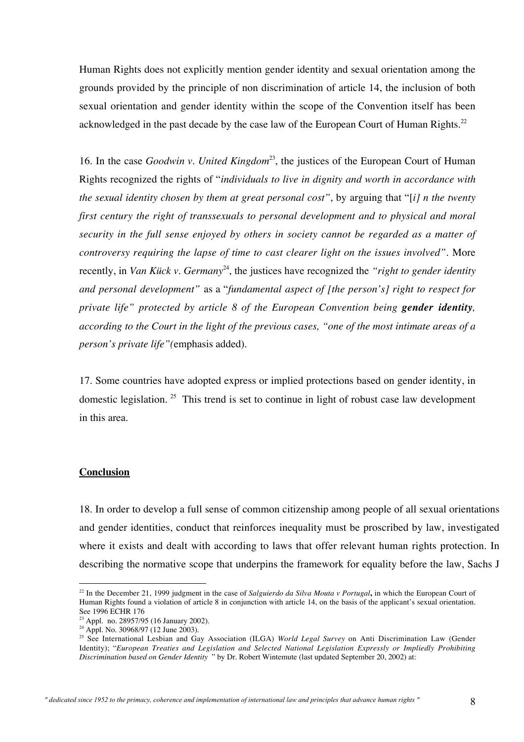Human Rights does not explicitly mention gender identity and sexual orientation among the grounds provided by the principle of non discrimination of article 14, the inclusion of both sexual orientation and gender identity within the scope of the Convention itself has been acknowledged in the past decade by the case law of the European Court of Human Rights.<sup>22</sup>

16. In the case *Goodwin v. United Kingdom*<sup>23</sup>, the justices of the European Court of Human Rights recognized the rights of "*individuals to live in dignity and worth in accordance with the sexual identity chosen by them at great personal cost"*, by arguing that "[*i] n the twenty first century the right of transsexuals to personal development and to physical and moral security in the full sense enjoyed by others in society cannot be regarded as a matter of controversy requiring the lapse of time to cast clearer light on the issues involved".* More recently, in *Van Kück v. Germany<sup>24</sup>*, the justices have recognized the "right to gender identity *and personal development"* as a "*fundamental aspect of [the person's] right to respect for private life" protected by article 8 of the European Convention being gender identity, according to the Court in the light of the previous cases, "one of the most intimate areas of a person's private life"(*emphasis added)*.*

17. Some countries have adopted express or implied protections based on gender identity, in domestic legislation.<sup>25</sup> This trend is set to continue in light of robust case law development in this area.

#### **Conclusion**

18. In order to develop a full sense of common citizenship among people of all sexual orientations and gender identities, conduct that reinforces inequality must be proscribed by law, investigated where it exists and dealt with according to laws that offer relevant human rights protection. In describing the normative scope that underpins the framework for equality before the law, Sachs J

 <sup>22</sup> In the December 21, 1999 judgment in the case of *Salguierdo da Silva Mouta v Portugal***,** in which the European Court of Human Rights found a violation of article 8 in conjunction with article 14, on the basis of the applicant's sexual orientation. See 1996 ECHR 176

<sup>&</sup>lt;sup>23</sup> Appl. no. 28957/95 (16 January 2002).

<sup>24</sup> Appl. No. 30968/97 (12 June 2003).

<sup>25</sup> See International Lesbian and Gay Association (ILGA) *World Legal Survey* on Anti Discrimination Law (Gender Identity); "*European Treaties and Legislation and Selected National Legislation Expressly or Impliedly Prohibiting Discrimination based on Gender Identity* " by Dr. Robert Wintemute (last updated September 20, 2002) at: